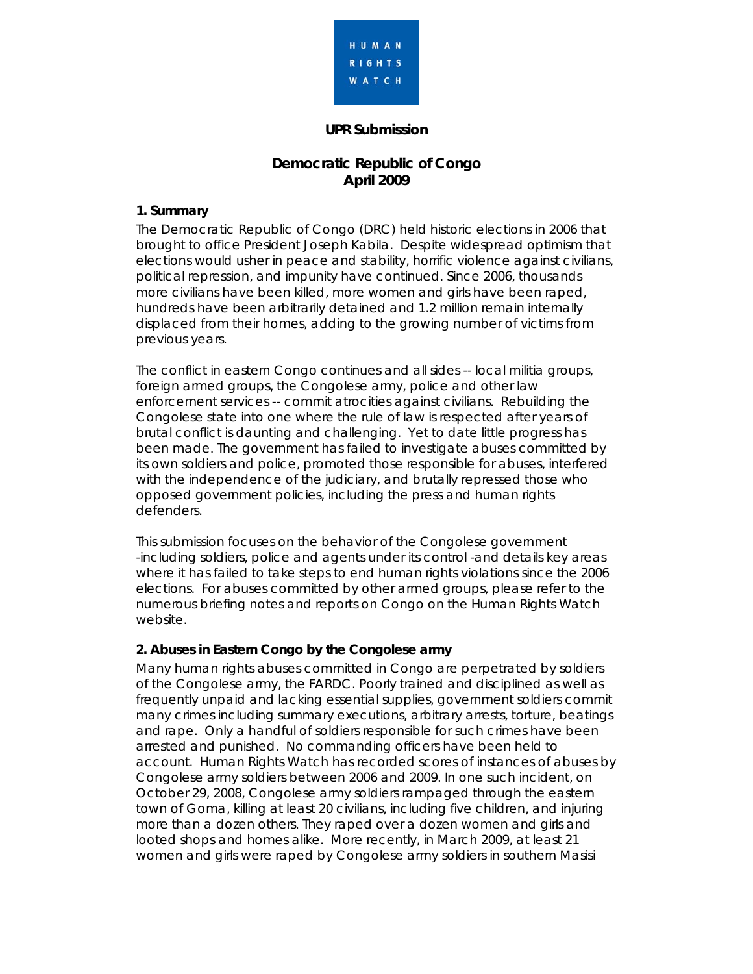

### **UPR Submission**

# **Democratic Republic of Congo April 2009**

### **1. Summary**

The Democratic Republic of Congo (DRC) held historic elections in 2006 that brought to office President Joseph Kabila. Despite widespread optimism that elections would usher in peace and stability, horrific violence against civilians, political repression, and impunity have continued. Since 2006, thousands more civilians have been killed, more women and girls have been raped, hundreds have been arbitrarily detained and 1.2 million remain internally displaced from their homes, adding to the growing number of victims from previous years.

The conflict in eastern Congo continues and all sides -- local militia groups, foreign armed groups, the Congolese army, police and other law enforcement services -- commit atrocities against civilians. Rebuilding the Congolese state into one where the rule of law is respected after years of brutal conflict is daunting and challenging. Yet to date little progress has been made. The government has failed to investigate abuses committed by its own soldiers and police, promoted those responsible for abuses, interfered with the independence of the judiciary, and brutally repressed those who opposed government policies, including the press and human rights defenders.

This submission focuses on the behavior of the Congolese government -including soldiers, police and agents under its control -and details key areas where it has failed to take steps to end human rights violations since the 2006 elections. For abuses committed by other armed groups, please refer to the numerous briefing notes and reports on Congo on the Human Rights Watch website.

### **2. Abuses in Eastern Congo by the Congolese army**

Many human rights abuses committed in Congo are perpetrated by soldiers of the Congolese army, the FARDC. Poorly trained and disciplined as well as frequently unpaid and lacking essential supplies, government soldiers commit many crimes including summary executions, arbitrary arrests, torture, beatings and rape. Only a handful of soldiers responsible for such crimes have been arrested and punished. No commanding officers have been held to account. Human Rights Watch has recorded scores of instances of abuses by Congolese army soldiers between 2006 and 2009. In one such incident, on October 29, 2008, Congolese army soldiers rampaged through the eastern town of Goma, killing at least 20 civilians, including five children, and injuring more than a dozen others. They raped over a dozen women and girls and looted shops and homes alike. More recently, in March 2009, at least 21 women and girls were raped by Congolese army soldiers in southern Masisi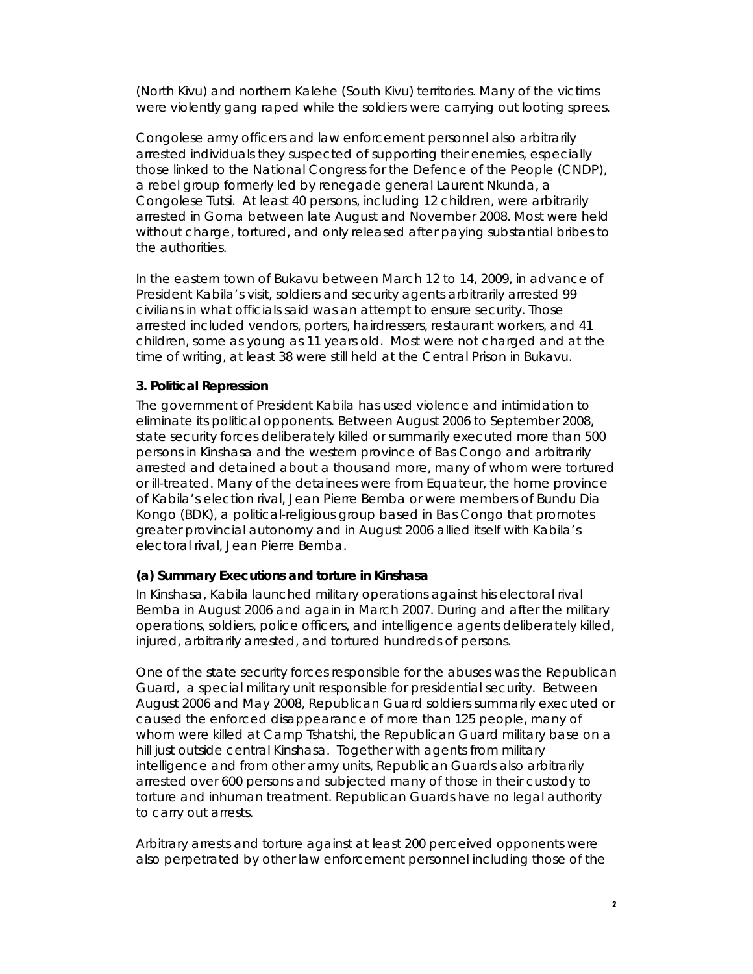(North Kivu) and northern Kalehe (South Kivu) territories. Many of the victims were violently gang raped while the soldiers were carrying out looting sprees.

Congolese army officers and law enforcement personnel also arbitrarily arrested individuals they suspected of supporting their enemies, especially those linked to the National Congress for the Defence of the People (CNDP), a rebel group formerly led by renegade general Laurent Nkunda, a Congolese Tutsi. At least 40 persons, including 12 children, were arbitrarily arrested in Goma between late August and November 2008. Most were held without charge, tortured, and only released after paying substantial bribes to the authorities.

In the eastern town of Bukavu between March 12 to 14, 2009, in advance of President Kabila's visit, soldiers and security agents arbitrarily arrested 99 civilians in what officials said was an attempt to ensure security. Those arrested included vendors, porters, hairdressers, restaurant workers, and 41 children, some as young as 11 years old. Most were not charged and at the time of writing, at least 38 were still held at the Central Prison in Bukavu.

### **3. Political Repression**

The government of President Kabila has used violence and intimidation to eliminate its political opponents. Between August 2006 to September 2008, state security forces deliberately killed or summarily executed more than 500 persons in Kinshasa and the western province of Bas Congo and arbitrarily arrested and detained about a thousand more, many of whom were tortured or ill-treated. Many of the detainees were from Equateur, the home province of Kabila's election rival, Jean Pierre Bemba or were members of Bundu Dia Kongo (BDK), a political-religious group based in Bas Congo that promotes greater provincial autonomy and in August 2006 allied itself with Kabila's electoral rival, Jean Pierre Bemba.

### *(a) Summary Executions and torture in Kinshasa*

In Kinshasa, Kabila launched military operations against his electoral rival Bemba in August 2006 and again in March 2007. During and after the military operations, soldiers, police officers, and intelligence agents deliberately killed, injured, arbitrarily arrested, and tortured hundreds of persons.

One of the state security forces responsible for the abuses was the Republican Guard, a special military unit responsible for presidential security. Between August 2006 and May 2008, Republican Guard soldiers summarily executed or caused the enforced disappearance of more than 125 people, many of whom were killed at Camp Tshatshi, the Republican Guard military base on a hill just outside central Kinshasa. Together with agents from military intelligence and from other army units, Republican Guards also arbitrarily arrested over 600 persons and subjected many of those in their custody to torture and inhuman treatment. Republican Guards have no legal authority to carry out arrests.

Arbitrary arrests and torture against at least 200 perceived opponents were also perpetrated by other law enforcement personnel including those of the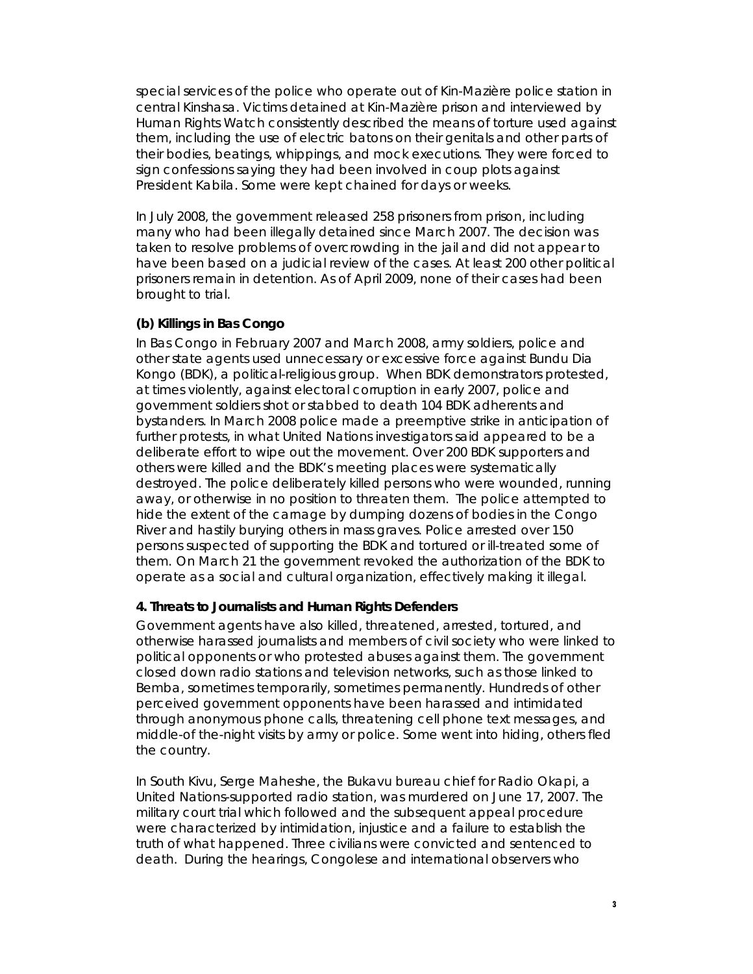special services of the police who operate out of Kin-Mazière police station in central Kinshasa. Victims detained at Kin-Mazière prison and interviewed by Human Rights Watch consistently described the means of torture used against them, including the use of electric batons on their genitals and other parts of their bodies, beatings, whippings, and mock executions. They were forced to sign confessions saying they had been involved in coup plots against President Kabila. Some were kept chained for days or weeks.

In July 2008, the government released 258 prisoners from prison, including many who had been illegally detained since March 2007. The decision was taken to resolve problems of overcrowding in the jail and did not appear to have been based on a judicial review of the cases. At least 200 other political prisoners remain in detention. As of April 2009, none of their cases had been brought to trial.

#### *(b) Killings in Bas Congo*

In Bas Congo in February 2007 and March 2008, army soldiers, police and other state agents used unnecessary or excessive force against Bundu Dia Kongo (BDK), a political-religious group. When BDK demonstrators protested, at times violently, against electoral corruption in early 2007, police and government soldiers shot or stabbed to death 104 BDK adherents and bystanders. In March 2008 police made a preemptive strike in anticipation of further protests, in what United Nations investigators said appeared to be a deliberate effort to wipe out the movement. Over 200 BDK supporters and others were killed and the BDK's meeting places were systematically destroyed. The police deliberately killed persons who were wounded, running away, or otherwise in no position to threaten them. The police attempted to hide the extent of the carnage by dumping dozens of bodies in the Congo River and hastily burying others in mass graves. Police arrested over 150 persons suspected of supporting the BDK and tortured or ill-treated some of them. On March 21 the government revoked the authorization of the BDK to operate as a social and cultural organization, effectively making it illegal.

#### **4. Threats to Journalists and Human Rights Defenders**

Government agents have also killed, threatened, arrested, tortured, and otherwise harassed journalists and members of civil society who were linked to political opponents or who protested abuses against them. The government closed down radio stations and television networks, such as those linked to Bemba, sometimes temporarily, sometimes permanently. Hundreds of other perceived government opponents have been harassed and intimidated through anonymous phone calls, threatening cell phone text messages, and middle-of the-night visits by army or police. Some went into hiding, others fled the country.

In South Kivu, Serge Maheshe, the Bukavu bureau chief for Radio Okapi, a United Nations-supported radio station, was murdered on June 17, 2007. The military court trial which followed and the subsequent appeal procedure were characterized by intimidation, injustice and a failure to establish the truth of what happened. Three civilians were convicted and sentenced to death. During the hearings, Congolese and international observers who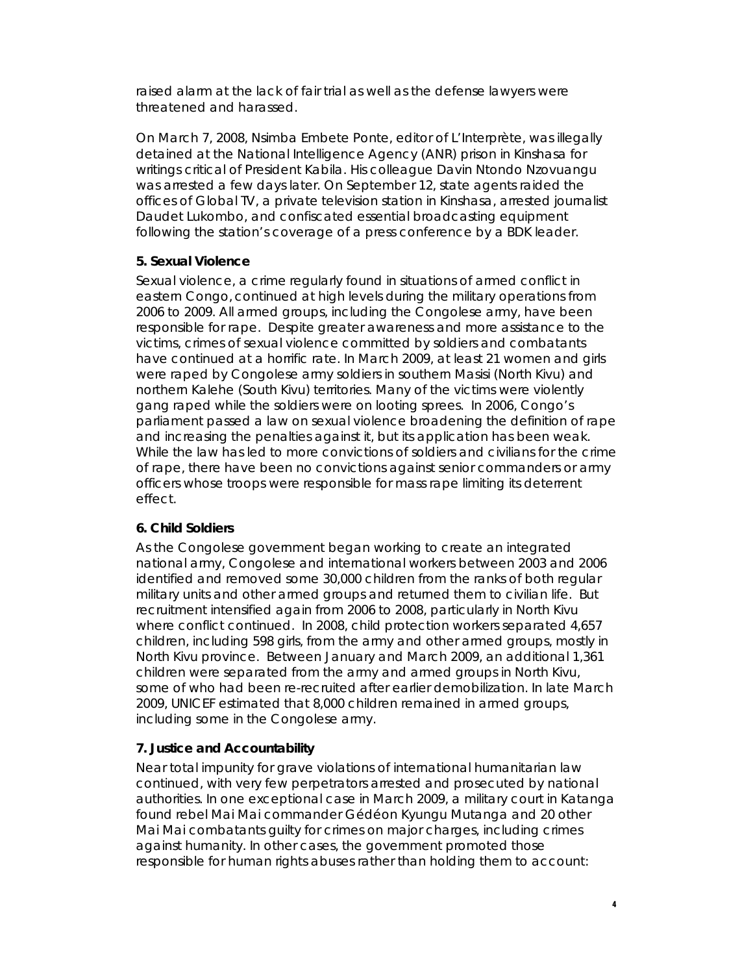raised alarm at the lack of fair trial as well as the defense lawyers were threatened and harassed.

On March 7, 2008, Nsimba Embete Ponte, editor of *L'Interprète,* was illegally detained at the National Intelligence Agency (ANR) prison in Kinshasa for writings critical of President Kabila. His colleague Davin Ntondo Nzovuangu was arrested a few days later. On September 12, state agents raided the offices of Global TV, a private television station in Kinshasa, arrested journalist Daudet Lukombo, and confiscated essential broadcasting equipment following the station's coverage of a press conference by a BDK leader.

### **5. Sexual Violence**

Sexual violence, a crime regularly found in situations of armed conflict in eastern Congo, continued at high levels during the military operations from 2006 to 2009. All armed groups, including the Congolese army, have been responsible for rape. Despite greater awareness and more assistance to the victims, crimes of sexual violence committed by soldiers and combatants have continued at a horrific rate. In March 2009, at least 21 women and girls were raped by Congolese army soldiers in southern Masisi (North Kivu) and northern Kalehe (South Kivu) territories. Many of the victims were violently gang raped while the soldiers were on looting sprees. In 2006, Congo's parliament passed a law on sexual violence broadening the definition of rape and increasing the penalties against it, but its application has been weak. While the law has led to more convictions of soldiers and civilians for the crime of rape, there have been no convictions against senior commanders or army officers whose troops were responsible for mass rape limiting its deterrent effect.

### **6. Child Soldiers**

As the Congolese government began working to create an integrated national army, Congolese and international workers between 2003 and 2006 identified and removed some 30,000 children from the ranks of both regular military units and other armed groups and returned them to civilian life. But recruitment intensified again from 2006 to 2008, particularly in North Kivu where conflict continued. In 2008, child protection workers separated 4,657 children, including 598 girls, from the army and other armed groups, mostly in North Kivu province. Between January and March 2009, an additional 1,361 children were separated from the army and armed groups in North Kivu, some of who had been re-recruited after earlier demobilization. In late March 2009, UNICEF estimated that 8,000 children remained in armed groups, including some in the Congolese army.

## **7. Justice and Accountability**

Near total impunity for grave violations of international humanitarian law continued, with very few perpetrators arrested and prosecuted by national authorities. In one exceptional case in March 2009, a military court in Katanga found rebel Mai Mai commander Gédéon Kyungu Mutanga and 20 other Mai Mai combatants guilty for crimes on major charges, including crimes against humanity. In other cases, the government promoted those responsible for human rights abuses rather than holding them to account: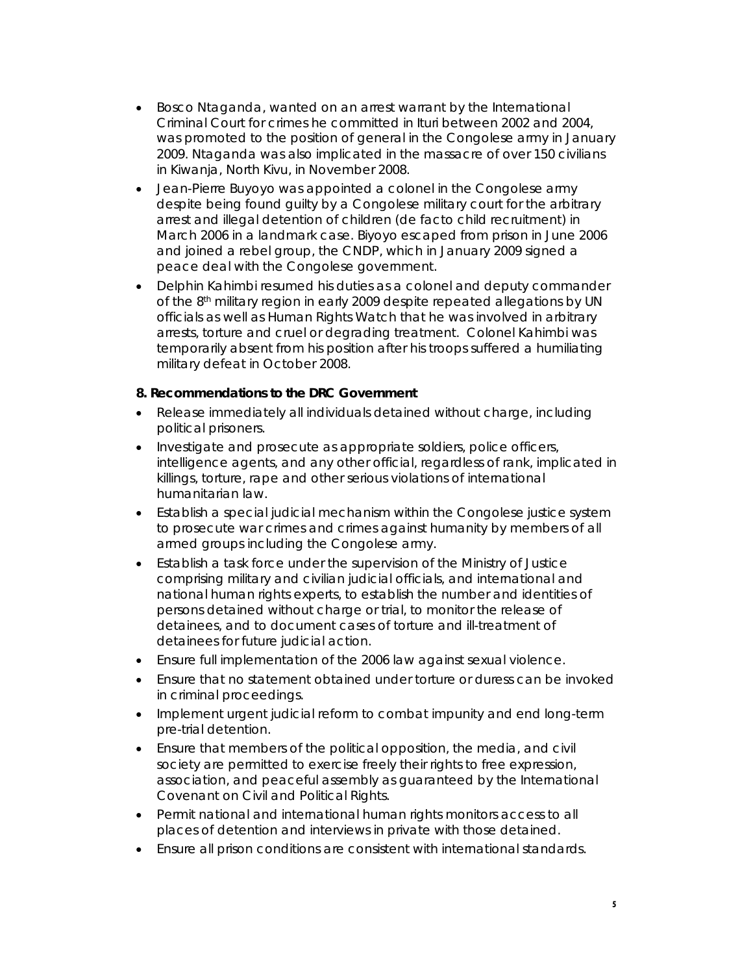- Bosco Ntaganda, wanted on an arrest warrant by the International Criminal Court for crimes he committed in Ituri between 2002 and 2004, was promoted to the position of general in the Congolese army in January 2009. Ntaganda was also implicated in the massacre of over 150 civilians in Kiwanja, North Kivu, in November 2008.
- Jean-Pierre Buyoyo was appointed a colonel in the Congolese army despite being found guilty by a Congolese military court for the arbitrary arrest and illegal detention of children (de facto child recruitment) in March 2006 in a landmark case. Biyoyo escaped from prison in June 2006 and joined a rebel group, the CNDP, which in January 2009 signed a peace deal with the Congolese government.
- Delphin Kahimbi resumed his duties as a colonel and deputy commander of the 8th military region in early 2009 despite repeated allegations by UN officials as well as Human Rights Watch that he was involved in arbitrary arrests, torture and cruel or degrading treatment. Colonel Kahimbi was temporarily absent from his position after his troops suffered a humiliating military defeat in October 2008.

#### **8. Recommendations to the DRC Government**

- Release immediately all individuals detained without charge, including political prisoners.
- Investigate and prosecute as appropriate soldiers, police officers, intelligence agents, and any other official, regardless of rank, implicated in killings, torture, rape and other serious violations of international humanitarian law.
- Establish a special judicial mechanism within the Congolese justice system to prosecute war crimes and crimes against humanity by members of all armed groups including the Congolese army.
- Establish a task force under the supervision of the Ministry of Justice comprising military and civilian judicial officials, and international and national human rights experts, to establish the number and identities of persons detained without charge or trial, to monitor the release of detainees, and to document cases of torture and ill-treatment of detainees for future judicial action.
- Ensure full implementation of the 2006 law against sexual violence.
- Ensure that no statement obtained under torture or duress can be invoked in criminal proceedings.
- Implement urgent judicial reform to combat impunity and end long-term pre-trial detention.
- Ensure that members of the political opposition, the media, and civil society are permitted to exercise freely their rights to free expression, association, and peaceful assembly as guaranteed by the International Covenant on Civil and Political Rights.
- Permit national and international human rights monitors access to all places of detention and interviews in private with those detained.
- Ensure all prison conditions are consistent with international standards.